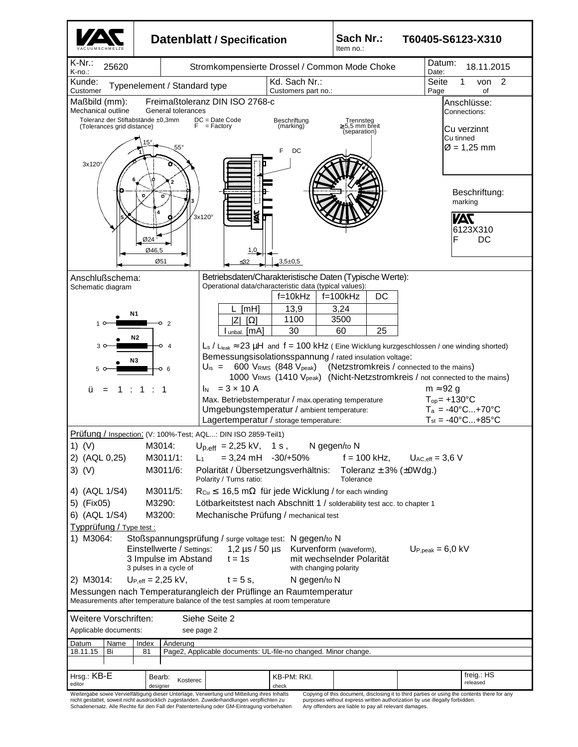